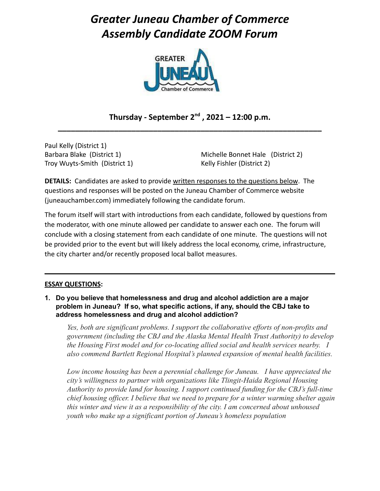# *Greater Juneau Chamber of Commerce Assembly Candidate ZOOM Forum*



# **Thursday - September 2 nd , 2021 – 12:00 p.m. \_\_\_\_\_\_\_\_\_\_\_\_\_\_\_\_\_\_\_\_\_\_\_\_\_\_\_\_\_\_\_\_\_\_\_\_\_\_\_\_\_\_\_\_\_\_\_\_\_\_\_\_\_\_\_\_\_\_\_\_\_**

Paul Kelly (District 1) Barbara Blake (District 1) Troy Wuyts-Smith (District 1)

Michelle Bonnet Hale (District 2) Kelly Fishler (District 2)

**DETAILS:** Candidates are asked to provide written responses to the questions below. The questions and responses will be posted on the Juneau Chamber of Commerce website (juneauchamber.com) immediately following the candidate forum.

The forum itself will start with introductions from each candidate, followed by questions from the moderator, with one minute allowed per candidate to answer each one. The forum will conclude with a closing statement from each candidate of one minute. The questions will not be provided prior to the event but will likely address the local economy, crime, infrastructure, the city charter and/or recently proposed local ballot measures.

#### **ESSAY QUESTIONS:**

**1. Do you believe that homelessness and drug and alcohol addiction are a major problem in Juneau? If so, what specific actions, if any, should the CBJ take to address homelessness and drug and alcohol addiction?**

*Yes, both are significant problems. I support the collaborative efforts of non-profits and government (including the CBJ and the Alaska Mental Health Trust Authority) to develop the Housing First model and for co-locating allied social and health services nearby. I also commend Bartlett Regional Hospital's planned expansion of mental health facilities.*

*Low income housing has been a perennial challenge for Juneau. I have appreciated the city's willingness to partner with organizations like Tlingit-Haida Regional Housing Authority to provide land for housing. I support continued funding for the CBJ's full-time chief housing officer. I believe that we need to prepare for a winter warming shelter again this winter and view it as a responsibility of the city. I am concerned about unhoused youth who make up a significant portion of Juneau's homeless population*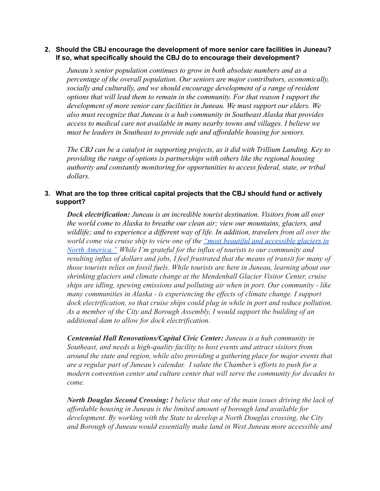#### **2. Should the CBJ encourage the development of more senior care facilities in Juneau? If so, what specifically should the CBJ do to encourage their development?**

*Juneau's senior population continues to grow in both absolute numbers and as a percentage of the overall population. Our seniors are major contributors, economically, socially and culturally, and we should encourage development of a range of resident options that will lead them to remain in the community. For that reason I support the development of more senior care facilities in Juneau. We must support our elders. We also must recognize that Juneau is a hub community in Southeast Alaska that provides access to medical care not available in many nearby towns and villages. I believe we must be leaders in Southeast to provide safe and affordable housing for seniors.*

*The CBJ can be a catalyst in supporting projects, as it did with Trillium Landing. Key to providing the range of options is partnerships with others like the regional housing authority and constantly monitoring for opportunities to access federal, state, or tribal dollars.*

## **3. What are the top three critical capital projects that the CBJ should fund or actively support?**

*Dock electrification: Juneau is an incredible tourist destination. Visitors from all over the world come to Alaska to breathe our clean air; view our mountains, glaciers, and wildlife; and to experience a different way of life. In addition, travelers from all over the world come via cruise ship to view one of the "most [beautiful and accessible glaciers in](https://www.traveljuneau.com/things-to-do/glacier-sightseeing/mendenhall-glacier/) [North America."](https://www.traveljuneau.com/things-to-do/glacier-sightseeing/mendenhall-glacier/) While I'm grateful for the influx of tourists to our community and resulting influx of dollars and jobs, I feel frustrated that the means of transit for many of those tourists relies on fossil fuels. While tourists are here in Juneau, learning about our shrinking glaciers and climate change at the Mendenhall Glacier Visitor Center, cruise ships are idling, spewing emissions and polluting air when in port. Our community - like many communities in Alaska - is experiencing the effects of climate change. I support dock electrification, so that cruise ships could plug in while in port and reduce pollution. As a member of the City and Borough Assembly, I would support the building of an additional dam to allow for dock electrification.*

*Centennial Hall Renovations/Capital Civic Center: Juneau is a hub community in Southeast, and needs a high-quality facility to host events and attract visitors from around the state and region, while also providing a gathering place for major events that are a regular part of Juneau's calendar. I salute the Chamber's efforts to push for a modern convention center and culture center that will serve the community for decades to come.*

*North Douglas Second Crossing: I believe that one of the main issues driving the lack of affordable housing in Juneau is the limited amount of borough land available for development. By working with the State to develop a North Douglas crossing, the City and Borough of Juneau would essentially make land in West Juneau more accessible and*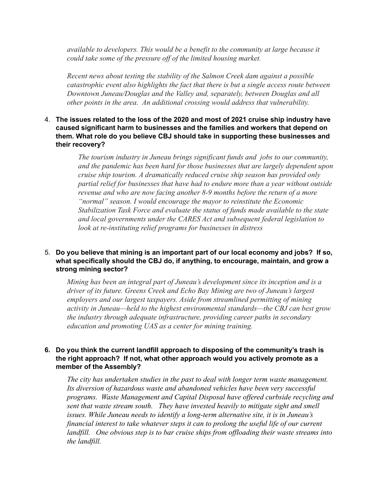*available to developers. This would be a benefit to the community at large because it could take some of the pressure off of the limited housing market.*

*Recent news about testing the stability of the Salmon Creek dam against a possible catastrophic event also highlights the fact that there is but a single access route between Downtown Juneau/Douglas and the Valley and, separately, between Douglas and all other points in the area. An additional crossing would address that vulnerability.*

### 4. **The issues related to the loss of the 2020 and most of 2021 cruise ship industry have caused significant harm to businesses and the families and workers that depend on them. What role do you believe CBJ should take in supporting these businesses and their recovery?**

*The tourism industry in Juneau brings significant funds and jobs to our community, and the pandemic has been hard for those businesses that are largely dependent upon cruise ship tourism. A dramatically reduced cruise ship season has provided only partial relief for businesses that have had to endure more than a year without outside revenue and who are now facing another 8-9 months before the return of a more "normal" season. I would encourage the mayor to reinstitute the Economic Stabilization Task Force and evaluate the status of funds made available to the state and local governments under the CARES Act and subsequent federal legislation to look at re-instituting relief programs for businesses in distress*

## 5. **Do you believe that mining is an important part of our local economy and jobs? If so, what specifically should the CBJ do, if anything, to encourage, maintain, and grow a strong mining sector?**

*Mining has been an integral part of Juneau's development since its inception and is a driver of its future. Greens Creek and Echo Bay Mining are two of Juneau's largest employers and our largest taxpayers. Aside from streamlined permitting of mining activity in Juneau—held to the highest environmental standards—the CBJ can best grow the industry through adequate infrastructure, providing career paths in secondary education and promoting UAS as a center for mining training.*

#### **6. Do you think the current landfill approach to disposing of the community's trash is the right approach? If not, what other approach would you actively promote as a member of the Assembly?**

*The city has undertaken studies in the past to deal with longer term waste management. Its diversion of hazardous waste and abandoned vehicles have been very successful programs. Waste Management and Capital Disposal have offered curbside recycling and sent that waste stream south. They have invested heavily to mitigate sight and smell issues. While Juneau needs to identify a long-term alternative site, it is in Juneau's financial interest to take whatever steps it can to prolong the useful life of our current landfill. One obvious step is to bar cruise ships from offloading their waste streams into the landfill.*